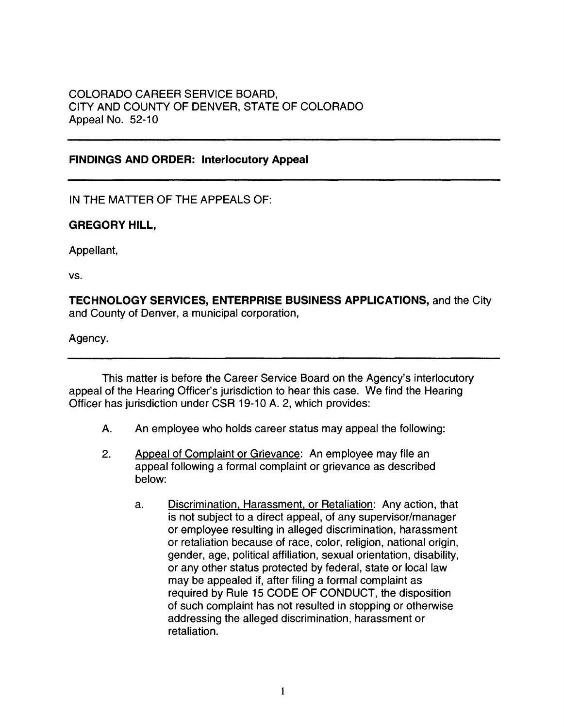# COLORADO CAREER SERVICE BOARD, CITY AND COUNTY OF DENVER, STATE OF COLORADO Appeal No. 52-10

# **FINDINGS AND ORDER: Interlocutory Appeal**

IN THE MATTER OF THE APPEALS OF:

# **GREGORY HILL,**

Appellant,

vs.

**TECHNOLOGY SERVICES, ENTERPRISE BUSINESS APPLICATIONS,** and the City and County of Denver, a municipal corporation,

Agency.

This matter is before the Career Service Board on the Agency's interlocutory appeal of the Hearing Officer's jurisdiction to hear this case. We find the Hearing Officer has jurisdiction under CSR 19-10 A. 2, which provides:

- A. An employee who holds career status may appeal the following:
- 2. Appeal of Complaint or Grievance: An employee may file an appeal following a formal complaint or grievance as described below:
	- a. Discrimination, Harassment, or Retaliation: Any action, that is not subject to a direct appeal, of any supervisor/manager or employee resulting in alleged discrimination, harassment or retaliation because of race, color, religion, national origin, gender, age, political affiliation, sexual orientation, disability, or any other status protected by federal, state or local law may be appealed if, after filing a formal complaint as required by Rule 15 CODE OF CONDUCT, the disposition of such complaint has not resulted in stopping or otherwise addressing the alleged discrimination, harassment or retaliation.